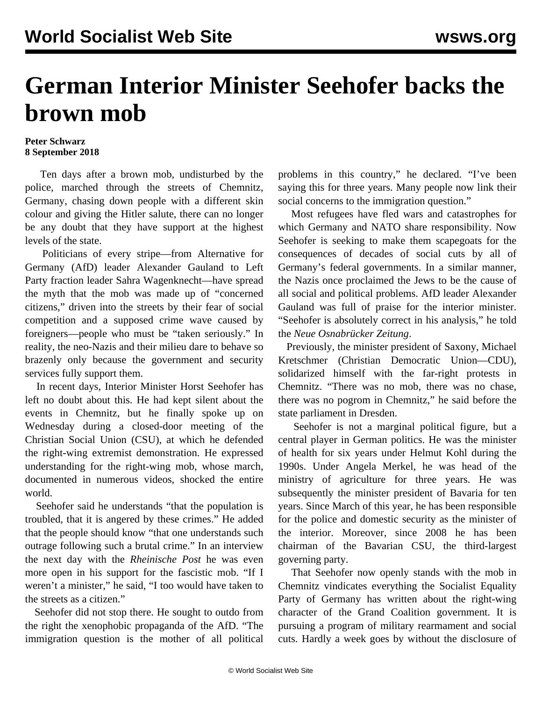## **German Interior Minister Seehofer backs the brown mob**

## **Peter Schwarz 8 September 2018**

 Ten days after a brown mob, undisturbed by the police, marched through the streets of Chemnitz, Germany, chasing down people with a different skin colour and giving the Hitler salute, there can no longer be any doubt that they have support at the highest levels of the state.

 Politicians of every stripe—from Alternative for Germany (AfD) leader Alexander Gauland to Left Party fraction leader Sahra Wagenknecht—have spread the myth that the mob was made up of "concerned citizens," driven into the streets by their fear of social competition and a supposed crime wave caused by foreigners—people who must be "taken seriously." In reality, the neo-Nazis and their milieu dare to behave so brazenly only because the government and security services fully support them.

 In recent days, Interior Minister Horst Seehofer has left no doubt about this. He had kept silent about the events in Chemnitz, but he finally spoke up on Wednesday during a closed-door meeting of the Christian Social Union (CSU), at which he defended the right-wing extremist demonstration. He expressed understanding for the right-wing mob, whose march, documented in numerous videos, shocked the entire world.

 Seehofer said he understands "that the population is troubled, that it is angered by these crimes." He added that the people should know "that one understands such outrage following such a brutal crime." In an interview the next day with the *Rheinische Post* he was even more open in his support for the fascistic mob. "If I weren't a minister," he said, "I too would have taken to the streets as a citizen."

 Seehofer did not stop there. He sought to outdo from the right the xenophobic propaganda of the AfD. "The immigration question is the mother of all political problems in this country," he declared. "I've been saying this for three years. Many people now link their social concerns to the immigration question."

 Most refugees have fled wars and catastrophes for which Germany and NATO share responsibility. Now Seehofer is seeking to make them scapegoats for the consequences of decades of social cuts by all of Germany's federal governments. In a similar manner, the Nazis once proclaimed the Jews to be the cause of all social and political problems. AfD leader Alexander Gauland was full of praise for the interior minister. "Seehofer is absolutely correct in his analysis," he told the *Neue Osnabrücker Zeitung*.

 Previously, the minister president of Saxony, Michael Kretschmer (Christian Democratic Union—CDU), [solidarized himself](/en/articles/2018/09/07/chem-s07.html) with the far-right protests in Chemnitz. "There was no mob, there was no chase, there was no pogrom in Chemnitz," he said before the state parliament in Dresden.

 Seehofer is not a marginal political figure, but a central player in German politics. He was the minister of health for six years under Helmut Kohl during the 1990s. Under Angela Merkel, he was head of the ministry of agriculture for three years. He was subsequently the minister president of Bavaria for ten years. Since March of this year, he has been responsible for the police and domestic security as the minister of the interior. Moreover, since 2008 he has been chairman of the Bavarian CSU, the third-largest governing party.

 That Seehofer now openly stands with the mob in Chemnitz vindicates everything the Socialist Equality Party of Germany has written about the right-wing character of the Grand Coalition government. It is pursuing a program of military rearmament and social cuts. Hardly a week goes by without the disclosure of